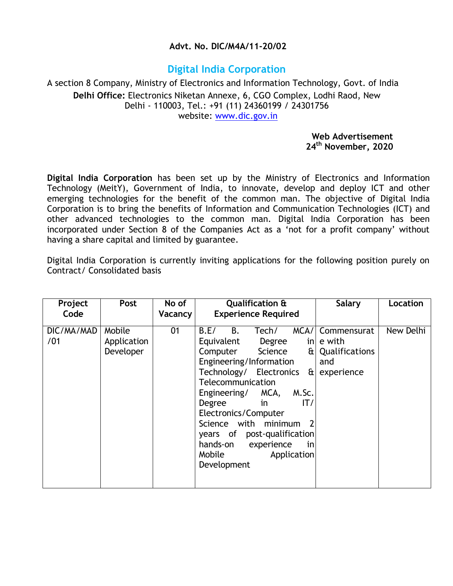#### **Advt. No. DIC/M4A/11-20/02**

# **Digital India Corporation**

#### A section 8 Company, Ministry of Electronics and Information Technology, Govt. of India **Delhi Office:** Electronics Niketan Annexe, 6, CGO Complex, Lodhi Raod, New Delhi - 110003, Tel.: +91 (11) 24360199 / 24301756 website: [www.dic.gov.in](http://www.dic.gov.in/)

#### **Web Advertisement 24th November, 2020**

**Digital India Corporation** has been set up by the Ministry of Electronics and Information Technology (MeitY), Government of India, to innovate, develop and deploy ICT and other emerging technologies for the benefit of the common man. The objective of Digital India Corporation is to bring the benefits of Information and Communication Technologies (ICT) and other advanced technologies to the common man. Digital India Corporation has been incorporated under Section 8 of the Companies Act as a 'not for a profit company' without having a share capital and limited by guarantee.

Digital India Corporation is currently inviting applications for the following position purely on Contract/ Consolidated basis

| Project<br>Code   | Post                               | No of<br>Vacancy | <b>Qualification &amp;</b><br><b>Experience Required</b>                                                                                                                                                                                                                                                                                                                         | <b>Salary</b>                                                              | Location  |
|-------------------|------------------------------------|------------------|----------------------------------------------------------------------------------------------------------------------------------------------------------------------------------------------------------------------------------------------------------------------------------------------------------------------------------------------------------------------------------|----------------------------------------------------------------------------|-----------|
| DIC/MA/MAD<br>/01 | Mobile<br>Application<br>Developer | 01               | Tech/<br>MCA/<br>B.E/<br>B.<br>Equivalent<br>Degree<br>Science<br>ŒΙ<br>Computer<br>Engineering/Information<br>Technology/ Electronics<br>ŒΙ<br>Telecommunication<br>MCA,<br>Engineering/<br>M.Sc.<br>IT/<br>Degree<br>in<br>Electronics/Computer<br>Science with minimum<br>years of post-qualification<br>hands-on<br>experience<br>in<br>Mobile<br>Application<br>Development | Commensurat<br>$\mathsf{in}$ e with<br>Qualifications<br>and<br>experience | New Delhi |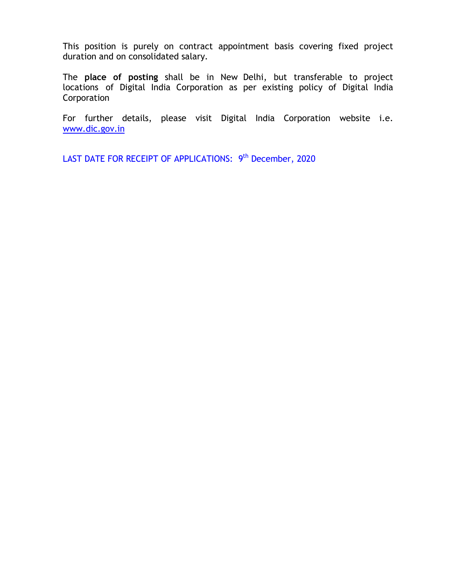This position is purely on contract appointment basis covering fixed project duration and on consolidated salary.

The **place of posting** shall be in New Delhi, but transferable to project locations of Digital India Corporation as per existing policy of Digital India Corporation

For further details, please visit Digital India Corporation website i.e. [www.dic.gov.in](http://www.dic.gov.in/)

LAST DATE FOR RECEIPT OF APPLICATIONS: 9<sup>th</sup> December, 2020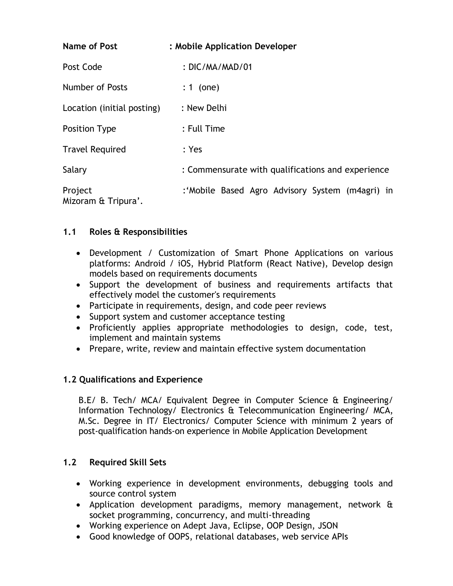| <b>Name of Post</b>            | : Mobile Application Developer                    |
|--------------------------------|---------------------------------------------------|
| Post Code                      | : DIC/MA/MAD/01                                   |
| Number of Posts                | $: 1$ (one)                                       |
| Location (initial posting)     | : New Delhi                                       |
| <b>Position Type</b>           | : Full Time                                       |
| <b>Travel Required</b>         | : Yes                                             |
| Salary                         | : Commensurate with qualifications and experience |
| Project<br>Mizoram & Tripura'. | :'Mobile Based Agro Advisory System (m4agri) in   |

# **1.1 Roles & Responsibilities**

- Development / Customization of Smart Phone Applications on various platforms: Android / iOS, Hybrid Platform (React Native), Develop design models based on requirements documents
- Support the development of business and requirements artifacts that effectively model the customer's requirements
- Participate in requirements, design, and code peer reviews
- Support system and customer acceptance testing
- Proficiently applies appropriate methodologies to design, code, test, implement and maintain systems
- Prepare, write, review and maintain effective system documentation

### **1.2 Qualifications and Experience**

B.E/ B. Tech/ MCA/ Equivalent Degree in Computer Science & Engineering/ Information Technology/ Electronics & Telecommunication Engineering/ MCA, M.Sc. Degree in IT/ Electronics/ Computer Science with minimum 2 years of post-qualification hands-on experience in Mobile Application Development

### **1.2 Required Skill Sets**

- Working experience in development environments, debugging tools and source control system
- Application development paradigms, memory management, network & socket programming, concurrency, and multi-threading
- Working experience on Adept Java, Eclipse, OOP Design, JSON
- Good knowledge of OOPS, relational databases, web service APIs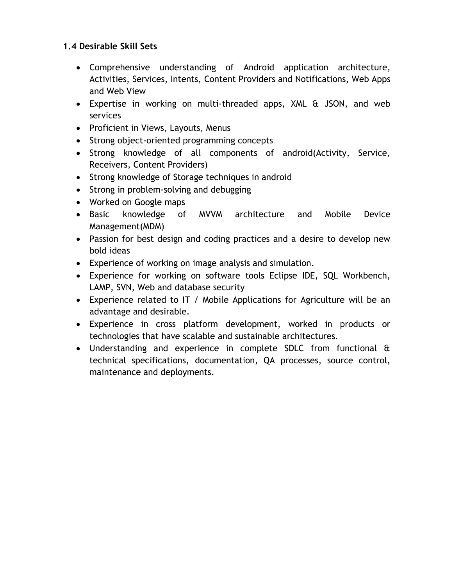# **1.4 Desirable Skill Sets**

- Comprehensive understanding of Android application architecture, Activities, Services, Intents, Content Providers and Notifications, Web Apps and Web View
- Expertise in working on multi-threaded apps, XML & JSON, and web services
- Proficient in Views, Layouts, Menus
- Strong object-oriented programming concepts
- Strong knowledge of all components of android(Activity, Service, Receivers, Content Providers)
- Strong knowledge of Storage techniques in android
- Strong in problem-solving and debugging
- Worked on Google maps
- Basic knowledge of MVVM architecture and Mobile Device Management(MDM)
- Passion for best design and coding practices and a desire to develop new bold ideas
- Experience of working on image analysis and simulation.
- Experience for working on software tools Eclipse IDE, SQL Workbench, LAMP, SVN, Web and database security
- Experience related to IT / Mobile Applications for Agriculture will be an advantage and desirable.
- Experience in cross platform development, worked in products or technologies that have scalable and sustainable architectures.
- Understanding and experience in complete SDLC from functional & technical specifications, documentation, QA processes, source control, maintenance and deployments.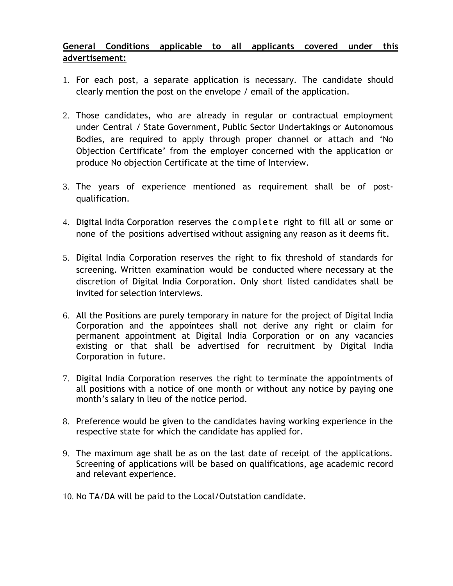# **General Conditions applicable to all applicants covered under this advertisement:**

- 1. For each post, a separate application is necessary. The candidate should clearly mention the post on the envelope / email of the application.
- 2. Those candidates, who are already in regular or contractual employment under Central / State Government, Public Sector Undertakings or Autonomous Bodies, are required to apply through proper channel or attach and 'No Objection Certificate' from the employer concerned with the application or produce No objection Certificate at the time of Interview.
- 3. The years of experience mentioned as requirement shall be of postqualification.
- 4. Digital India Corporation reserves the complete right to fill all or some or none of the positions advertised without assigning any reason as it deems fit.
- 5. Digital India Corporation reserves the right to fix threshold of standards for screening. Written examination would be conducted where necessary at the discretion of Digital India Corporation. Only short listed candidates shall be invited for selection interviews.
- 6. All the Positions are purely temporary in nature for the project of Digital India Corporation and the appointees shall not derive any right or claim for permanent appointment at Digital India Corporation or on any vacancies existing or that shall be advertised for recruitment by Digital India Corporation in future.
- 7. Digital India Corporation reserves the right to terminate the appointments of all positions with a notice of one month or without any notice by paying one month's salary in lieu of the notice period.
- 8. Preference would be given to the candidates having working experience in the respective state for which the candidate has applied for.
- 9. The maximum age shall be as on the last date of receipt of the applications. Screening of applications will be based on qualifications, age academic record and relevant experience.
- 10. No TA/DA will be paid to the Local/Outstation candidate.